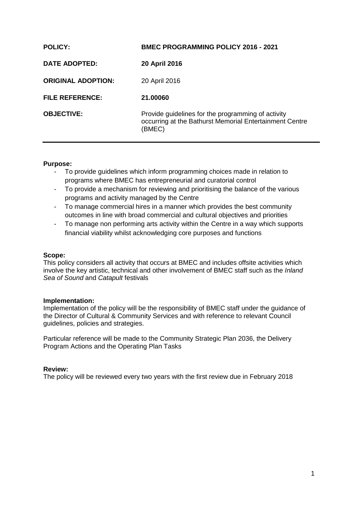| <b>POLICY:</b>            | <b>BMEC PROGRAMMING POLICY 2016 - 2021</b>                                                                              |
|---------------------------|-------------------------------------------------------------------------------------------------------------------------|
| DATE ADOPTED:             | 20 April 2016                                                                                                           |
| <b>ORIGINAL ADOPTION:</b> | 20 April 2016                                                                                                           |
| <b>FILE REFERENCE:</b>    | 21.00060                                                                                                                |
| <b>OBJECTIVE:</b>         | Provide guidelines for the programming of activity<br>occurring at the Bathurst Memorial Entertainment Centre<br>(BMEC) |

#### **Purpose:**

- To provide guidelines which inform programming choices made in relation to programs where BMEC has entrepreneurial and curatorial control
- To provide a mechanism for reviewing and prioritising the balance of the various programs and activity managed by the Centre
- To manage commercial hires in a manner which provides the best community outcomes in line with broad commercial and cultural objectives and priorities
- To manage non performing arts activity within the Centre in a way which supports financial viability whilst acknowledging core purposes and functions

#### **Scope:**

This policy considers all activity that occurs at BMEC and includes offsite activities which involve the key artistic, technical and other involvement of BMEC staff such as the *Inland Sea of Sound* and *Catapult* festivals

#### **Implementation:**

Implementation of the policy will be the responsibility of BMEC staff under the guidance of the Director of Cultural & Community Services and with reference to relevant Council guidelines, policies and strategies.

Particular reference will be made to the Community Strategic Plan 2036, the Delivery Program Actions and the Operating Plan Tasks

#### **Review:**

The policy will be reviewed every two years with the first review due in February 2018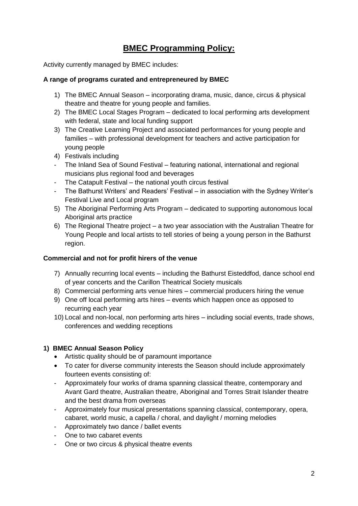# **BMEC Programming Policy:**

Activity currently managed by BMEC includes:

## **A range of programs curated and entrepreneured by BMEC**

- 1) The BMEC Annual Season incorporating drama, music, dance, circus & physical theatre and theatre for young people and families.
- 2) The BMEC Local Stages Program dedicated to local performing arts development with federal, state and local funding support
- 3) The Creative Learning Project and associated performances for young people and families – with professional development for teachers and active participation for young people
- 4) Festivals including
- The Inland Sea of Sound Festival featuring national, international and regional musicians plus regional food and beverages
- The Catapult Festival the national youth circus festival
- The Bathurst Writers' and Readers' Festival in association with the Sydney Writer's Festival Live and Local program
- 5) The Aboriginal Performing Arts Program dedicated to supporting autonomous local Aboriginal arts practice
- 6) The Regional Theatre project a two year association with the Australian Theatre for Young People and local artists to tell stories of being a young person in the Bathurst region.

## **Commercial and not for profit hirers of the venue**

- 7) Annually recurring local events including the Bathurst Eisteddfod, dance school end of year concerts and the Carillon Theatrical Society musicals
- 8) Commercial performing arts venue hires commercial producers hiring the venue
- 9) One off local performing arts hires events which happen once as opposed to recurring each year
- 10) Local and non-local, non performing arts hires including social events, trade shows, conferences and wedding receptions

## **1) BMEC Annual Season Policy**

- Artistic quality should be of paramount importance
- To cater for diverse community interests the Season should include approximately fourteen events consisting of:
- Approximately four works of drama spanning classical theatre, contemporary and Avant Gard theatre, Australian theatre, Aboriginal and Torres Strait Islander theatre and the best drama from overseas
- Approximately four musical presentations spanning classical, contemporary, opera, cabaret, world music, a capella / choral, and daylight / morning melodies
- Approximately two dance / ballet events
- One to two cabaret events
- One or two circus & physical theatre events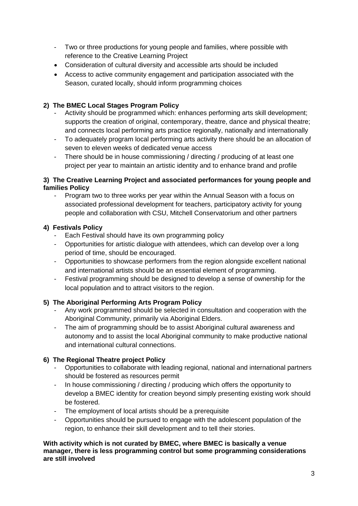- Two or three productions for young people and families, where possible with reference to the Creative Learning Project
- Consideration of cultural diversity and accessible arts should be included
- Access to active community engagement and participation associated with the Season, curated locally, should inform programming choices

## **2) The BMEC Local Stages Program Policy**

- Activity should be programmed which: enhances performing arts skill development; supports the creation of original, contemporary, theatre, dance and physical theatre; and connects local performing arts practice regionally, nationally and internationally
- To adequately program local performing arts activity there should be an allocation of seven to eleven weeks of dedicated venue access
- There should be in house commissioning / directing / producing of at least one project per year to maintain an artistic identity and to enhance brand and profile

## **3) The Creative Learning Project and associated performances for young people and families Policy**

- Program two to three works per year within the Annual Season with a focus on associated professional development for teachers, participatory activity for young people and collaboration with CSU, Mitchell Conservatorium and other partners

## **4) Festivals Policy**

- Each Festival should have its own programming policy
- Opportunities for artistic dialogue with attendees, which can develop over a long period of time, should be encouraged.
- Opportunities to showcase performers from the region alongside excellent national and international artists should be an essential element of programming.
- Festival programming should be designed to develop a sense of ownership for the local population and to attract visitors to the region.

# **5) The Aboriginal Performing Arts Program Policy**

- Any work programmed should be selected in consultation and cooperation with the Aboriginal Community, primarily via Aboriginal Elders.
- The aim of programming should be to assist Aboriginal cultural awareness and autonomy and to assist the local Aboriginal community to make productive national and international cultural connections.

# **6) The Regional Theatre project Policy**

- Opportunities to collaborate with leading regional, national and international partners should be fostered as resources permit
- In house commissioning / directing / producing which offers the opportunity to develop a BMEC identity for creation beyond simply presenting existing work should be fostered.
- The employment of local artists should be a prerequisite
- Opportunities should be pursued to engage with the adolescent population of the region, to enhance their skill development and to tell their stories.

#### **With activity which is not curated by BMEC, where BMEC is basically a venue manager, there is less programming control but some programming considerations are still involved**